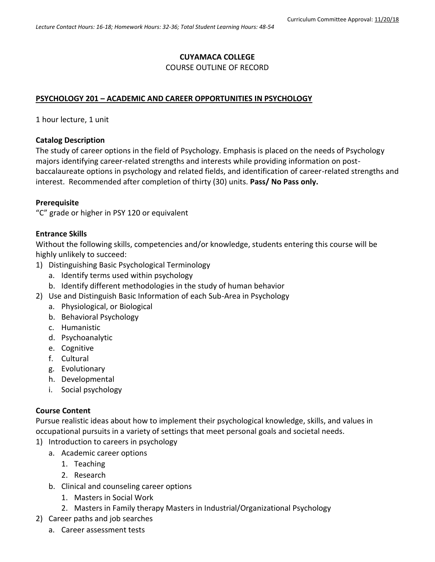# **CUYAMACA COLLEGE**

#### COURSE OUTLINE OF RECORD

# **PSYCHOLOGY 201 – ACADEMIC AND CAREER OPPORTUNITIES IN PSYCHOLOGY**

1 hour lecture, 1 unit

### **Catalog Description**

The study of career options in the field of Psychology. Emphasis is placed on the needs of Psychology majors identifying career-related strengths and interests while providing information on postbaccalaureate options in psychology and related fields, and identification of career-related strengths and interest. Recommended after completion of thirty (30) units. **Pass/ No Pass only.**

### **Prerequisite**

"C" grade or higher in PSY 120 or equivalent

# **Entrance Skills**

Without the following skills, competencies and/or knowledge, students entering this course will be highly unlikely to succeed:

- 1) Distinguishing Basic Psychological Terminology
	- a. Identify terms used within psychology
	- b. Identify different methodologies in the study of human behavior
- 2) Use and Distinguish Basic Information of each Sub-Area in Psychology
	- a. Physiological, or Biological
	- b. Behavioral Psychology
	- c. Humanistic
	- d. Psychoanalytic
	- e. Cognitive
	- f. Cultural
	- g. Evolutionary
	- h. Developmental
	- i. Social psychology

### **Course Content**

Pursue realistic ideas about how to implement their psychological knowledge, skills, and values in occupational pursuits in a variety of settings that meet personal goals and societal needs.

- 1) Introduction to careers in psychology
	- a. Academic career options
		- 1. Teaching
		- 2. Research
	- b. Clinical and counseling career options
		- 1. Masters in Social Work
		- 2. Masters in Family therapy Masters in Industrial/Organizational Psychology
- 2) Career paths and job searches
	- a. Career assessment tests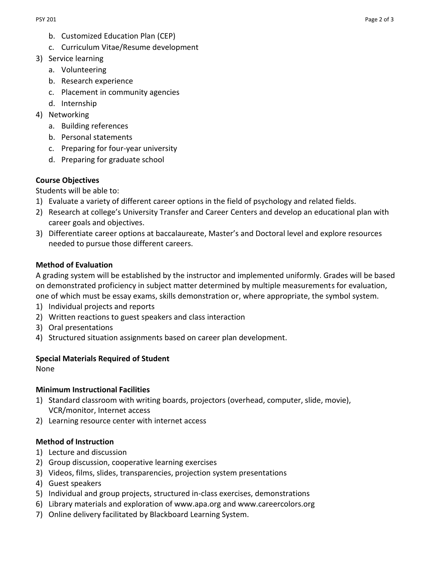- b. Customized Education Plan (CEP)
- c. Curriculum Vitae/Resume development
- 3) Service learning
	- a. Volunteering
	- b. Research experience
	- c. Placement in community agencies
	- d. Internship
- 4) Networking
	- a. Building references
	- b. Personal statements
	- c. Preparing for four-year university
	- d. Preparing for graduate school

# **Course Objectives**

Students will be able to:

- 1) Evaluate a variety of different career options in the field of psychology and related fields.
- 2) Research at college's University Transfer and Career Centers and develop an educational plan with career goals and objectives.
- 3) Differentiate career options at baccalaureate, Master's and Doctoral level and explore resources needed to pursue those different careers.

# **Method of Evaluation**

A grading system will be established by the instructor and implemented uniformly. Grades will be based on demonstrated proficiency in subject matter determined by multiple measurements for evaluation, one of which must be essay exams, skills demonstration or, where appropriate, the symbol system.

- 1) Individual projects and reports
- 2) Written reactions to guest speakers and class interaction
- 3) Oral presentations
- 4) Structured situation assignments based on career plan development.

### **Special Materials Required of Student**

None

### **Minimum Instructional Facilities**

- 1) Standard classroom with writing boards, projectors (overhead, computer, slide, movie), VCR/monitor, Internet access
- 2) Learning resource center with internet access

### **Method of Instruction**

- 1) Lecture and discussion
- 2) Group discussion, cooperative learning exercises
- 3) Videos, films, slides, transparencies, projection system presentations
- 4) Guest speakers
- 5) Individual and group projects, structured in-class exercises, demonstrations
- 6) Library materials and exploration of [www.apa.org](http://www.apa.org/) and [www.careercolors.org](http://www.careercolors.org/)
- 7) Online delivery facilitated by Blackboard Learning System.